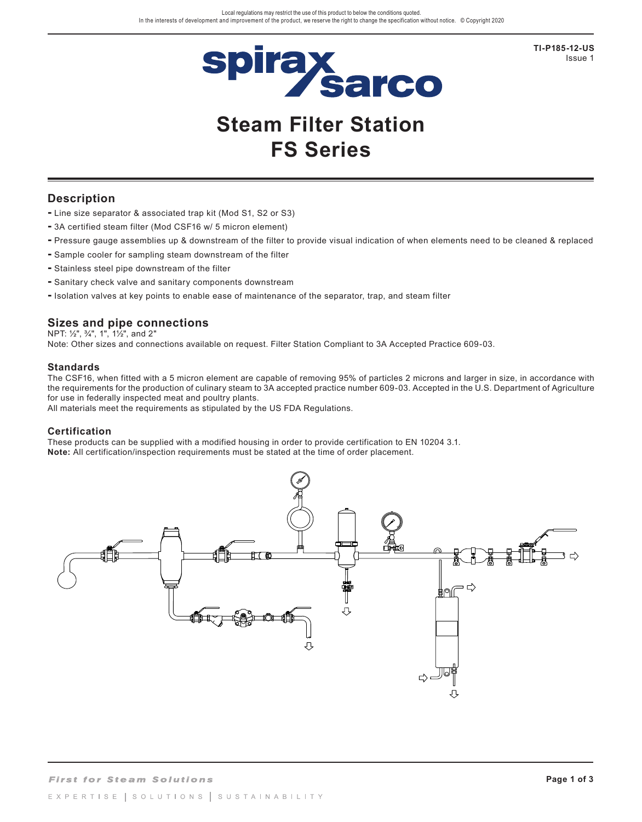

**TI-P185-12-US**  Issue 1

# **Steam Filter Station FS Series**

## **Description**

- **-** Line size separator & associated trap kit (Mod S1, S2 or S3)
- **-** 3A certified steam filter (Mod CSF16 w/ 5 micron element)
- **-** Pressure gauge assemblies up & downstream of the filter to provide visual indication of when elements need to be cleaned & replaced
- **-** Sample cooler for sampling steam downstream of the filter
- **-** Stainless steel pipe downstream of the filter
- **-** Sanitary check valve and sanitary components downstream
- **-** Isolation valves at key points to enable ease of maintenance of the separator, trap, and steam filter

### **Sizes and pipe connections**

NPT: ½", ¾", 1", 1½", and 2"

Note: Other sizes and connections available on request. Filter Station Compliant to 3A Accepted Practice 609-03.

#### **Standards**

The CSF16, when fitted with a 5 micron element are capable of removing 95% of particles 2 microns and larger in size, in accordance with the requirements for the production of culinary steam to 3A accepted practice number 609-03. Accepted in the U.S. Department of Agriculture for use in federally inspected meat and poultry plants.

All materials meet the requirements as stipulated by the US FDA Regulations.

#### **Certification**

These products can be supplied with a modified housing in order to provide certification to EN 10204 3.1. **Note:** All certification/inspection requirements must be stated at the time of order placement.

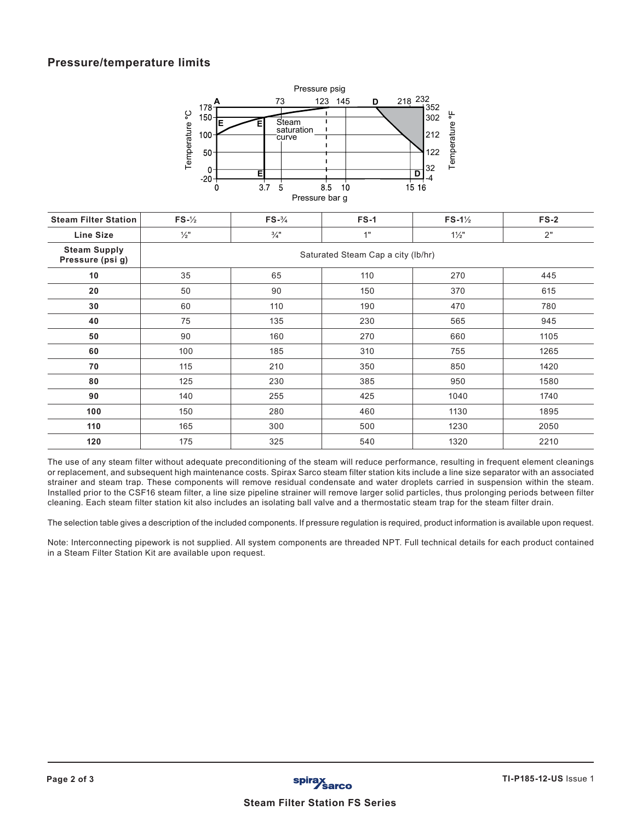## **Pressure/temperature limits**



| <b>Steam Filter Station</b>             | $FS - \frac{1}{2}$                 | $FS - \frac{3}{4}$ | $FS-1$ | $FS-1\frac{1}{2}$ | $FS-2$ |  |  |  |
|-----------------------------------------|------------------------------------|--------------------|--------|-------------------|--------|--|--|--|
| <b>Line Size</b>                        | $\frac{1}{2}$ "                    | $\frac{3}{4}$ "    | 1"     | $1\frac{1}{2}$    | 2"     |  |  |  |
| <b>Steam Supply</b><br>Pressure (psi g) | Saturated Steam Cap a city (lb/hr) |                    |        |                   |        |  |  |  |
| 10                                      | 35                                 | 65                 | 110    | 270               | 445    |  |  |  |
| 20                                      | 50                                 | 90                 | 150    | 370               | 615    |  |  |  |
| 30                                      | 60                                 | 110                | 190    | 470               | 780    |  |  |  |
| 40                                      | 75                                 | 135                | 230    | 565               | 945    |  |  |  |
| 50                                      | 90                                 | 160                | 270    | 660               | 1105   |  |  |  |
| 60                                      | 100                                | 185                | 310    | 755               | 1265   |  |  |  |
| 70                                      | 115                                | 210                | 350    | 850               | 1420   |  |  |  |
| 80                                      | 125                                | 230                | 385    | 950               | 1580   |  |  |  |
| 90                                      | 140                                | 255                | 425    | 1040              | 1740   |  |  |  |
| 100                                     | 150                                | 280                | 460    | 1130              | 1895   |  |  |  |
| 110                                     | 165                                | 300                | 500    | 1230              | 2050   |  |  |  |
| 120                                     | 175                                | 325                | 540    | 1320              | 2210   |  |  |  |